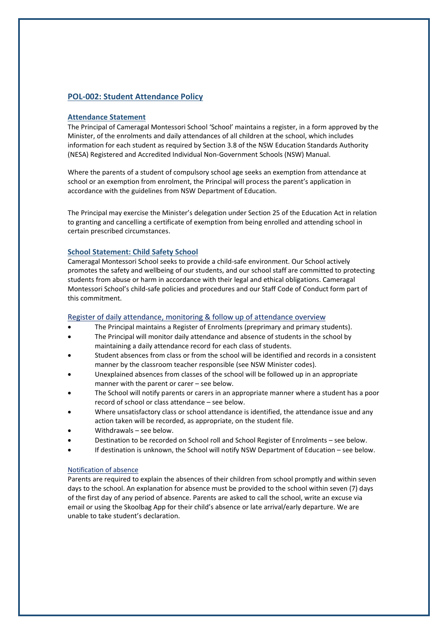# **POL-002: Student Attendance Policy**

## **Attendance Statement**

The Principal of Cameragal Montessori School 'School' maintains a register, in a form approved by the Minister, of the enrolments and daily attendances of all children at the school, which includes information for each student as required by Section 3.8 of the NSW Education Standards Authority (NESA) Registered and Accredited Individual Non-Government Schools (NSW) Manual.

Where the parents of a student of compulsory school age seeks an exemption from attendance at school or an exemption from enrolment, the Principal will process the parent's application in accordance with the guidelines from NSW Department of Education.

The Principal may exercise the Minister's delegation under Section 25 of the Education Act in relation to granting and cancelling a certificate of exemption from being enrolled and attending school in certain prescribed circumstances.

# **School Statement: Child Safety School**

Cameragal Montessori School seeks to provide a child-safe environment. Our School actively promotes the safety and wellbeing of our students, and our school staff are committed to protecting students from abuse or harm in accordance with their legal and ethical obligations. Cameragal Montessori School's child-safe policies and procedures and our Staff Code of Conduct form part of this commitment.

## Register of daily attendance, monitoring & follow up of attendance overview

- The Principal maintains a Register of Enrolments (preprimary and primary students).
- The Principal will monitor daily attendance and absence of students in the school by maintaining a daily attendance record for each class of students.
- Student absences from class or from the school will be identified and records in a consistent manner by the classroom teacher responsible (see NSW Minister codes).
- Unexplained absences from classes of the school will be followed up in an appropriate manner with the parent or carer – see below.
- The School will notify parents or carers in an appropriate manner where a student has a poor record of school or class attendance – see below.
- Where unsatisfactory class or school attendance is identified, the attendance issue and any action taken will be recorded, as appropriate, on the student file.
- Withdrawals see below.
- Destination to be recorded on School roll and School Register of Enrolments see below.
- If destination is unknown, the School will notify NSW Department of Education see below.

### Notification of absence

Parents are required to explain the absences of their children from school promptly and within seven days to the school. An explanation for absence must be provided to the school within seven (7) days of the first day of any period of absence. Parents are asked to call the school, write an excuse via email or using the Skoolbag App for their child's absence or late arrival/early departure. We are unable to take student's declaration.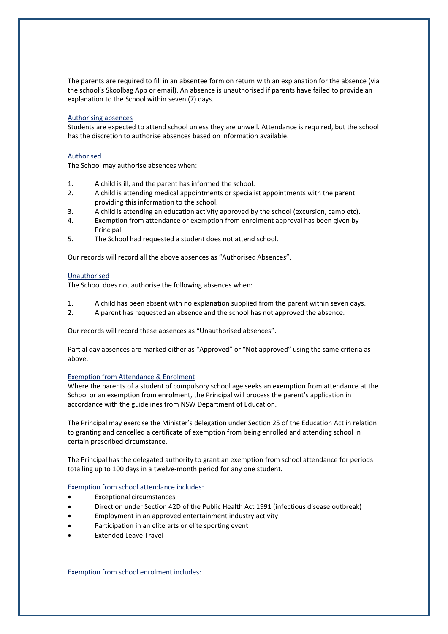The parents are required to fill in an absentee form on return with an explanation for the absence (via the school's Skoolbag App or email). An absence is unauthorised if parents have failed to provide an explanation to the School within seven (7) days.

### Authorising absences

Students are expected to attend school unless they are unwell. Attendance is required, but the school has the discretion to authorise absences based on information available.

### Authorised

The School may authorise absences when:

- 1. A child is ill, and the parent has informed the school.
- 2. A child is attending medical appointments or specialist appointments with the parent providing this information to the school.
- 3. A child is attending an education activity approved by the school (excursion, camp etc).
- 4. Exemption from attendance or exemption from enrolment approval has been given by Principal.
- 5. The School had requested a student does not attend school.

Our records will record all the above absences as "Authorised Absences".

### Unauthorised

The School does not authorise the following absences when:

- 1. A child has been absent with no explanation supplied from the parent within seven days.
- 2. A parent has requested an absence and the school has not approved the absence.

Our records will record these absences as "Unauthorised absences".

Partial day absences are marked either as "Approved" or "Not approved" using the same criteria as above.

#### Exemption from Attendance & Enrolment

Where the parents of a student of compulsory school age seeks an exemption from attendance at the School or an exemption from enrolment, the Principal will process the parent's application in accordance with the guidelines from NSW Department of Education.

The Principal may exercise the Minister's delegation under Section 25 of the Education Act in relation to granting and cancelled a certificate of exemption from being enrolled and attending school in certain prescribed circumstance.

The Principal has the delegated authority to grant an exemption from school attendance for periods totalling up to 100 days in a twelve-month period for any one student.

#### Exemption from school attendance includes:

- **Exceptional circumstances**
- Direction under Section 42D of the Public Health Act 1991 (infectious disease outbreak)
- Employment in an approved entertainment industry activity
- Participation in an elite arts or elite sporting event
- **Extended Leave Travel**

Exemption from school enrolment includes: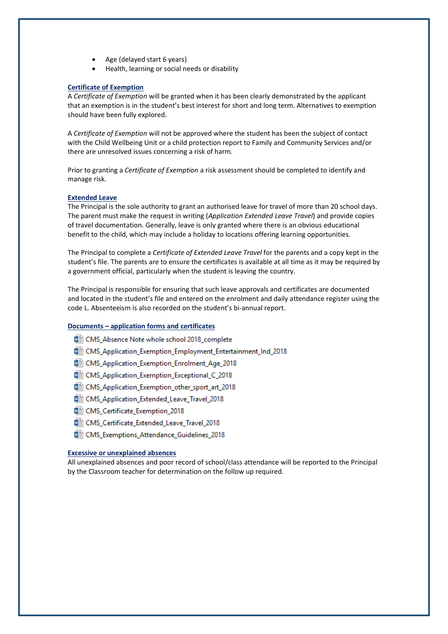- Age (delayed start 6 years)
- Health, learning or social needs or disability

## **Certificate of Exemption**

A *Certificate of Exemption* will be granted when it has been clearly demonstrated by the applicant that an exemption is in the student's best interest for short and long term. Alternatives to exemption should have been fully explored.

A *Certificate of Exemption* will not be approved where the student has been the subject of contact with the Child Wellbeing Unit or a child protection report to Family and Community Services and/or there are unresolved issues concerning a risk of harm.

Prior to granting a *Certificate of Exemption* a risk assessment should be completed to identify and manage risk.

### **Extended Leave**

The Principal is the sole authority to grant an authorised leave for travel of more than 20 school days. The parent must make the request in writing (*Application Extended Leave Travel*) and provide copies of travel documentation. Generally, leave is only granted where there is an obvious educational benefit to the child, which may include a holiday to locations offering learning opportunities.

The Principal to complete a *Certificate of Extended Leave Travel* for the parents and a copy kept in the student's file. The parents are to ensure the certificates is available at all time as it may be required by a government official, particularly when the student is leaving the country.

The Principal is responsible for ensuring that such leave approvals and certificates are documented and located in the student's file and entered on the enrolment and daily attendance register using the code L. Absenteeism is also recorded on the student's bi-annual report.

# **Documents – application forms and certificates**

- CMS\_Absence Note whole school 2018\_complete
- <sup>图</sup> CMS Application Exemption Employment Entertainment Ind 2018
- 918 CMS\_Application\_Exemption\_Enrolment\_Age\_2018
- CMS\_Application\_Exemption\_Exceptional\_C\_2018
- CMS Application Exemption other sport art 2018
- · CMS\_Application\_Extended\_Leave\_Travel\_2018
- CMS Certificate Exemption 2018
- CMS\_Certificate\_Extended\_Leave\_Travel\_2018
- 918\_CMS\_Exemptions\_Attendance\_Guidelines\_2018

### **Excessive or unexplained absences**

All unexplained absences and poor record of school/class attendance will be reported to the Principal by the Classroom teacher for determination on the follow up required.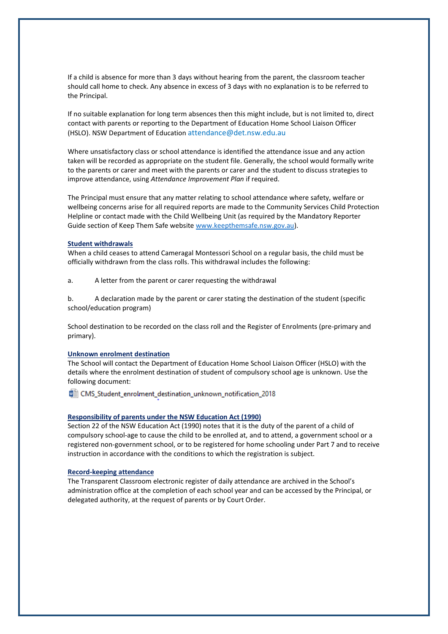If a child is absence for more than 3 days without hearing from the parent, the classroom teacher should call home to check. Any absence in excess of 3 days with no explanation is to be referred to the Principal.

If no suitable explanation for long term absences then this might include, but is not limited to, direct contact with parents or reporting to the Department of Education Home School Liaison Officer (HSLO). NSW Department of Education [attendance@det.nsw.edu.au](mailto:attendance@det.nsw.edu.au)

Where unsatisfactory class or school attendance is identified the attendance issue and any action taken will be recorded as appropriate on the student file. Generally, the school would formally write to the parents or carer and meet with the parents or carer and the student to discuss strategies to improve attendance, using *Attendance Improvement Plan* if required.

The Principal must ensure that any matter relating to school attendance where safety, welfare or wellbeing concerns arise for all required reports are made to the Community Services Child Protection Helpline or contact made with the Child Wellbeing Unit (as required by th[e Mandatory Reporter](http://www.keepthemsafe.nsw.gov.au/reporting_concerns/mandatory_reporter_guide)  [Guide](http://www.keepthemsafe.nsw.gov.au/reporting_concerns/mandatory_reporter_guide) section of Keep Them Safe website [www.keepthemsafe.nsw.gov.au\)](http://www.keepthemsafe.nsw.gov.au/).

### **Student withdrawals**

When a child ceases to attend Cameragal Montessori School on a regular basis, the child must be officially withdrawn from the class rolls. This withdrawal includes the following:

a. A letter from the parent or carer requesting the withdrawal

b. A declaration made by the parent or carer stating the destination of the student (specific school/education program)

School destination to be recorded on the class roll and the Register of Enrolments (pre-primary and primary).

### **Unknown enrolment destination**

The School will contact the Department of Education Home School Liaison Officer (HSLO) with the details where the enrolment destination of student of compulsory school age is unknown. Use the following document:

■ CMS\_Student\_enrolment\_destination\_unknown\_notification\_2018

## **Responsibility of parents under the NSW Education Act (1990)**

Section 22 of the NSW Education Act (1990) notes that it is the duty of the parent of a child of compulsory school-age to cause the child to be enrolled at, and to attend, a government school or a registered non-government school, or to be registered for home schooling under Part 7 and to receive instruction in accordance with the conditions to which the registration is subject.

#### **Record-keeping attendance**

The Transparent Classroom electronic register of daily attendance are archived in the School's administration office at the completion of each school year and can be accessed by the Principal, or delegated authority, at the request of parents or by Court Order.